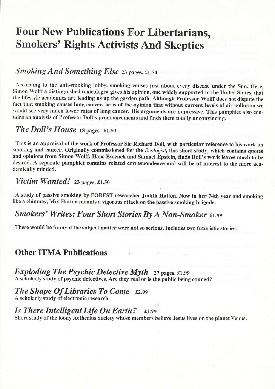# Four New Publications For Libertarians, Smokers' Rights Activists And Skeptics

# Smoking And Something Else 23 pages. £1.50

According to the anti-smoking lobby, smoking causes just about every disease under the Sun. Here, Simon Wolff a distinguished toxicologist gives his opinion, one widely supported in the United States, that the lifestyle academics are leading us up the garden path. Although Professor Wolff does not dispute the fact that smoking causes lung cancer, he is of the opinion that without current levels of air pollution we would see very much lower rates of lung cancer. His arguments are impressive. This pamphlet also contains an analysis of Professor Doll's pronouncements and finds them totally unconvincing.

# The Doll's House 18 pages.  $£1.50$

This is an appraisal of the work of Professor Sir Richard DolI, with particular reference to his work on smoking and cancer. Originally commissioned for the Ecologist, this short study, which contains quotes and opinions from Simon Wolff, Hans Eysenek and Samuel Epstein, finds Doll's work leaves much to be desired. A separate pamphlet contains related correspondence and will be of interest to the more academically minded.

## Victim Wanted! 23 pages.  $\epsilon$ 1.50

A study of passive smoking by FOREST researcher Judith Hatton. Now in her 74th year and smoking like a chimney, Mrs Hatton mounts a vigorous attack on the passive smoking brigade.

# Smokers' Writes: Four Short Stories By A Non-Smoker £1.99

These would be funny if the subject matter were not so serious. Includes two futuristic stories.

# Other ITMA Publications

### Exploding The Psychic Detective Myth  $27$  pages. £1.99 A scholarly study of psychic detectives. Are they real or is the public being conned?

### The Shape Of Libraries To Come £2.99 A scholarly study of electronic research

#### ,,,,i1 Is There Intelligent Life On Earth?  $\epsilon_1$ ,  $\epsilon_2$

Short study of the loony Aetherius Society whose members believe Jesus lives on the planet Venus.